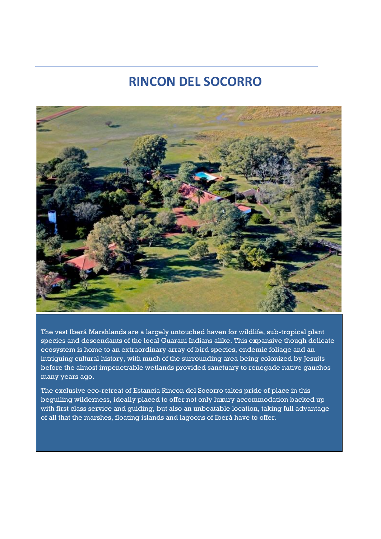## **RINCON DEL SOCORRO**



The vast Iberá Marshlands are a largely untouched haven for wildlife, sub-tropical plant species and descendants of the local Guarani Indians alike. This expansive though delicate ecosystem is home to an extraordinary array of bird species, endemic foliage and an intriguing cultural history, with much of the surrounding area being colonized by Jesuits before the almost impenetrable wetlands provided sanctuary to renegade native gauchos many years ago.

The exclusive eco-retreat of Estancia Rincon del Socorro takes pride of place in this beguiling wilderness, ideally placed to offer not only luxury accommodation backed up with first class service and guiding, but also an unbeatable location, taking full advantage of all that the marshes, floating islands and lagoons of Iberá have to offer.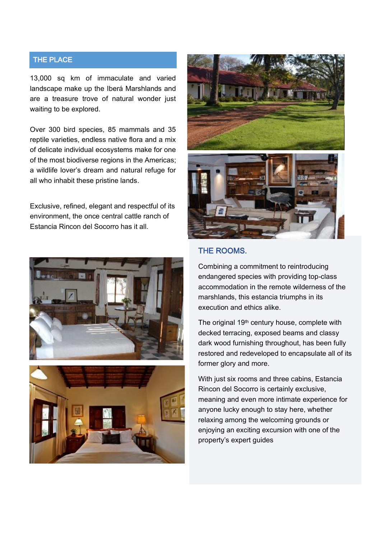#### THE PLACE

13,000 sq km of immaculate and varied landscape make up the Iberá Marshlands and are a treasure trove of natural wonder just waiting to be explored.

Over 300 bird species, 85 mammals and 35 reptile varieties, endless native flora and a mix of delicate individual ecosystems make for one of the most biodiverse regions in the Americas; a wildlife lover's dream and natural refuge for all who inhabit these pristine lands.

Exclusive, refined, elegant and respectful of its environment, the once central cattle ranch of Estancia Rincon del Socorro has it all.









#### THE ROOMS.

Combining a commitment to reintroducing endangered species with providing top-class accommodation in the remote wilderness of the marshlands, this estancia triumphs in its execution and ethics alike.

The original 19<sup>th</sup> century house, complete with decked terracing, exposed beams and classy dark wood furnishing throughout, has been fully restored and redeveloped to encapsulate all of its former glory and more.

With just six rooms and three cabins, Estancia Rincon del Socorro is certainly exclusive, meaning and even more intimate experience for anyone lucky enough to stay here, whether relaxing among the welcoming grounds or enjoying an exciting excursion with one of the property's expert guides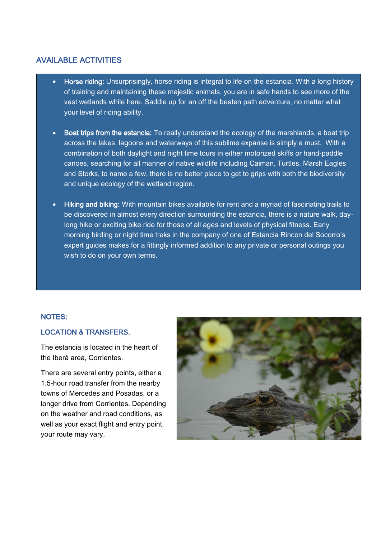#### AVAILABLE ACTIVITIES

- **Horse riding:** Unsurprisingly, horse riding is integral to life on the estancia. With a long history of training and maintaining these majestic animals, you are in safe hands to see more of the vast wetlands while here. Saddle up for an off the beaten path adventure, no matter what your level of riding ability.
- Boat trips from the estancia: To really understand the ecology of the marshlands, a boat trip across the lakes, lagoons and waterways of this sublime expanse is simply a must. With a combination of both daylight and night time tours in either motorized skiffs or hand-paddle canoes, searching for all manner of native wildlife including Caiman, Turtles, Marsh Eagles and Storks, to name a few, there is no better place to get to grips with both the biodiversity and unique ecology of the wetland region.
- Hiking and biking: With mountain bikes available for rent and a myriad of fascinating trails to be discovered in almost every direction surrounding the estancia, there is a nature walk, daylong hike or exciting bike ride for those of all ages and levels of physical fitness. Early morning birding or night time treks in the company of one of Estancia Rincon del Socorro's expert guides makes for a fittingly informed addition to any private or personal outings you wish to do on your own terms.

#### NOTES:

#### LOCATION & TRANSFERS.

The estancia is located in the heart of the Iberá area, Corrientes.

There are several entry points, either a 1.5-hour road transfer from the nearby towns of Mercedes and Posadas, or a longer drive from Corrientes. Depending on the weather and road conditions, as well as your exact flight and entry point, your route may vary.

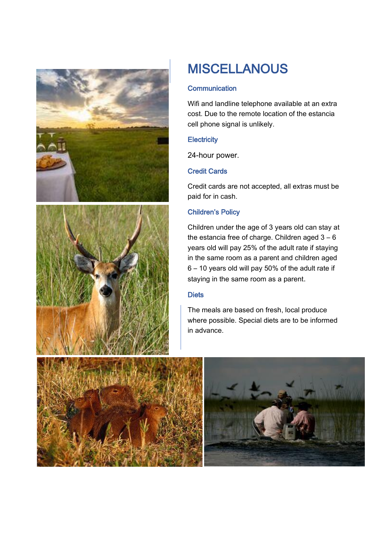

# **MISCELLANOUS**

#### **Communication**

Wifi and landline telephone available at an extra cost. Due to the remote location of the estancia cell phone signal is unlikely.

#### **Electricity**

24-hour power.

#### Credit Cards

Credit cards are not accepted, all extras must be paid for in cash.

#### Children's Policy

Children under the age of 3 years old can stay at the estancia free of charge. Children aged  $3 - 6$ years old will pay 25% of the adult rate if staying in the same room as a parent and children aged 6 – 10 years old will pay 50% of the adult rate if staying in the same room as a parent.

#### **Diets**

The meals are based on fresh, local produce where possible. Special diets are to be informed in advance.